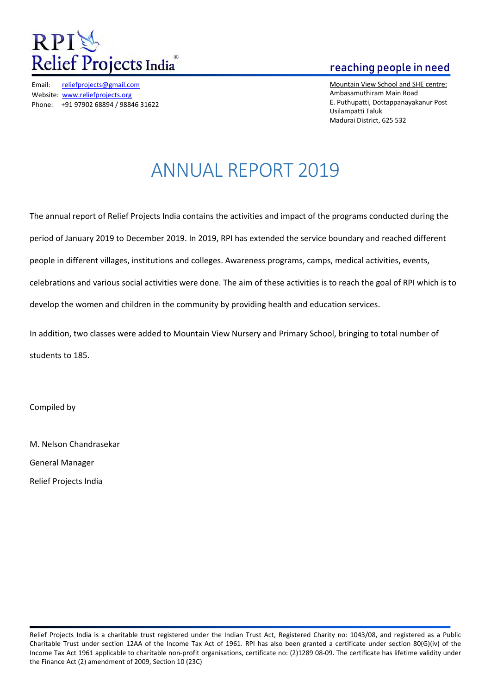

Email: reliefprojects@gmail.com Website: www.reliefprojects.org Phone: +91 97902 68894 / 98846 31622

## reaching people in need

Mountain View School and SHE centre: Ambasamuthiram Main Road E. Puthupatti, Dottappanayakanur Post Usilampatti Taluk Madurai District, 625 532

# ANNUAL REPORT 2019

The annual report of Relief Projects India contains the activities and impact of the programs conducted during the period of January 2019 to December 2019. In 2019, RPI has extended the service boundary and reached different people in different villages, institutions and colleges. Awareness programs, camps, medical activities, events, celebrations and various social activities were done. The aim of these activities is to reach the goal of RPI which is to develop the women and children in the community by providing health and education services.

In addition, two classes were added to Mountain View Nursery and Primary School, bringing to total number of students to 185.

Compiled by

M. Nelson Chandrasekar General Manager Relief Projects India

Relief Projects India is a charitable trust registered under the Indian Trust Act, Registered Charity no: 1043/08, and registered as a Public Charitable Trust under section 12AA of the Income Tax Act of 1961. RPI has also been granted a certificate under section 80(G)(iv) of the Income Tax Act 1961 applicable to charitable non-profit organisations, certificate no: (2)1289 08-09. The certificate has lifetime validity under the Finance Act (2) amendment of 2009, Section 10 (23C)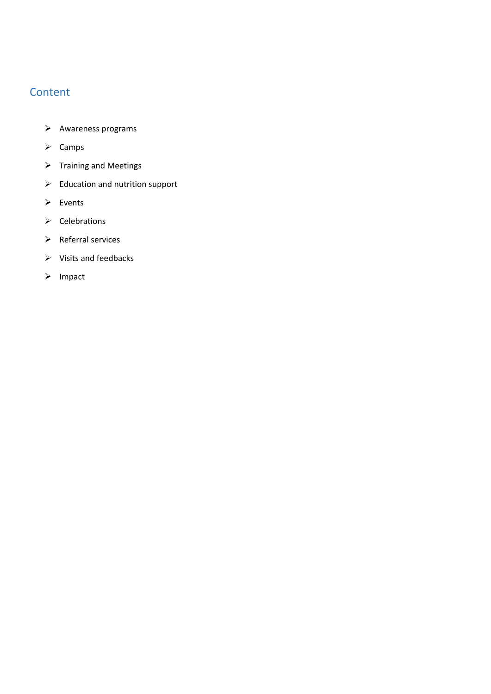## **Content**

- $\blacktriangleright$  Awareness programs
- $\triangleright$  Camps
- $\triangleright$  Training and Meetings
- $\triangleright$  Education and nutrition support
- $\triangleright$  Events
- $\triangleright$  Celebrations
- $\triangleright$  Referral services
- $\triangleright$  Visits and feedbacks
- $\triangleright$  Impact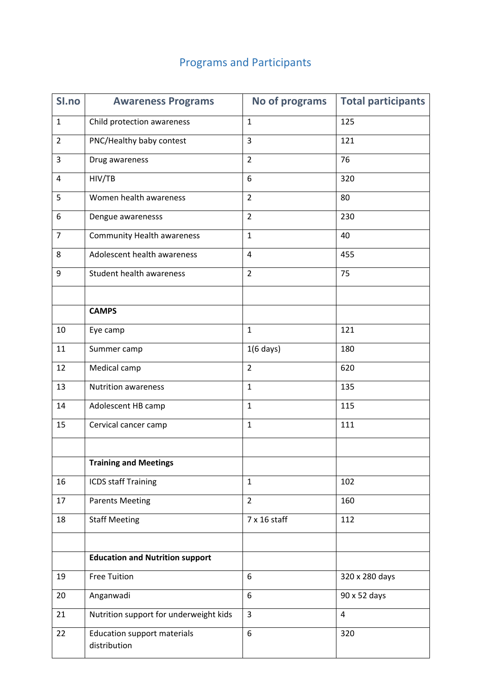## Programs and Participants

| SI.no          | <b>Awareness Programs</b>                          | No of programs      | <b>Total participants</b> |
|----------------|----------------------------------------------------|---------------------|---------------------------|
| $\mathbf{1}$   | Child protection awareness                         | $\mathbf{1}$        | 125                       |
| $\overline{2}$ | PNC/Healthy baby contest                           | 3                   | 121                       |
| 3              | Drug awareness                                     | $\overline{2}$      | 76                        |
| 4              | HIV/TB                                             | 6                   | 320                       |
| 5              | Women health awareness                             | $\overline{2}$      | 80                        |
| 6              | Dengue awarenesss                                  | $\overline{2}$      | 230                       |
| $\overline{7}$ | <b>Community Health awareness</b>                  | $\mathbf{1}$        | 40                        |
| 8              | Adolescent health awareness                        | 4                   | 455                       |
| 9              | Student health awareness                           | $\overline{2}$      | 75                        |
|                |                                                    |                     |                           |
|                | <b>CAMPS</b>                                       |                     |                           |
| 10             | Eye camp                                           | $\mathbf{1}$        | 121                       |
| 11             | Summer camp                                        | $1(6 \text{ days})$ | 180                       |
| 12             | Medical camp                                       | $\overline{2}$      | 620                       |
| 13             | <b>Nutrition awareness</b>                         | $\mathbf{1}$        | 135                       |
| 14             | Adolescent HB camp                                 | $\mathbf{1}$        | 115                       |
| 15             | Cervical cancer camp                               | $\mathbf{1}$        | 111                       |
|                |                                                    |                     |                           |
|                | <b>Training and Meetings</b>                       |                     |                           |
| 16             | <b>ICDS staff Training</b>                         | $\mathbf{1}$        | 102                       |
| 17             | <b>Parents Meeting</b>                             | $\overline{2}$      | 160                       |
| 18             | <b>Staff Meeting</b>                               | 7 x 16 staff        | 112                       |
|                |                                                    |                     |                           |
|                | <b>Education and Nutrition support</b>             |                     |                           |
| 19             | <b>Free Tuition</b>                                | 6                   | 320 x 280 days            |
| 20             | Anganwadi                                          | 6                   | 90 x 52 days              |
| 21             | Nutrition support for underweight kids             | $\overline{3}$      | $\overline{4}$            |
| 22             | <b>Education support materials</b><br>distribution | 6                   | 320                       |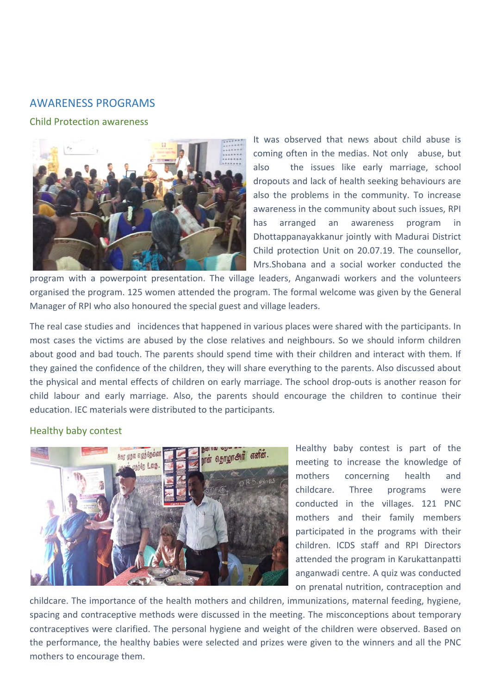### AWARENESS PROGRAMS

#### Child Protection awareness



It was observed that news about child abuse is coming often in the medias. Not only abuse, but also the issues like early marriage, school dropouts and lack of health seeking behaviours are also the problems in the community. To increase awareness in the community about such issues, RPI has arranged an awareness program in Dhottappanayakkanur jointly with Madurai District Child protection Unit on 20.07.19. The counsellor, Mrs.Shobana and a social worker conducted the

program with a powerpoint presentation. The village leaders, Anganwadi workers and the volunteers organised the program. 125 women attended the program. The formal welcome was given by the General Manager of RPI who also honoured the special guest and village leaders.

The real case studies and incidences that happened in various places were shared with the participants. In most cases the victims are abused by the close relatives and neighbours. So we should inform children about good and bad touch. The parents should spend time with their children and interact with them. If they gained the confidence of the children, they will share everything to the parents. Also discussed about the physical and mental effects of children on early marriage. The school drop-outs is another reason for child labour and early marriage. Also, the parents should encourage the children to continue their education. IEC materials were distributed to the participants.

#### Healthy baby contest



Healthy baby contest is part of the meeting to increase the knowledge of mothers concerning health and childcare. Three programs were conducted in the villages. 121 PNC mothers and their family members participated in the programs with their children. ICDS staff and RPI Directors attended the program in Karukattanpatti anganwadi centre. A quiz was conducted on prenatal nutrition, contraception and

childcare. The importance of the health mothers and children, immunizations, maternal feeding, hygiene, spacing and contraceptive methods were discussed in the meeting. The misconceptions about temporary contraceptives were clarified. The personal hygiene and weight of the children were observed. Based on the performance, the healthy babies were selected and prizes were given to the winners and all the PNC mothers to encourage them.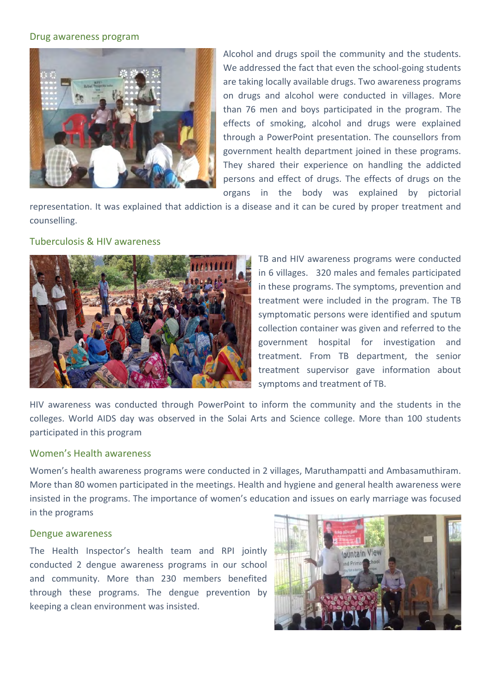#### Drug awareness program



Alcohol and drugs spoil the community and the students. We addressed the fact that even the school-going students are taking locally available drugs. Two awareness programs on drugs and alcohol were conducted in villages. More than 76 men and boys participated in the program. The effects of smoking, alcohol and drugs were explained through a PowerPoint presentation. The counsellors from government health department joined in these programs. They shared their experience on handling the addicted persons and effect of drugs. The effects of drugs on the organs in the body was explained by pictorial

representation. It was explained that addiction is a disease and it can be cured by proper treatment and counselling.

#### Tuberculosis & HIV awareness



TB and HIV awareness programs were conducted in 6 villages. 320 males and females participated in these programs. The symptoms, prevention and treatment were included in the program. The TB symptomatic persons were identified and sputum collection container was given and referred to the government hospital for investigation and treatment. From TB department, the senior treatment supervisor gave information about symptoms and treatment of TB.

HIV awareness was conducted through PowerPoint to inform the community and the students in the colleges. World AIDS day was observed in the Solai Arts and Science college. More than 100 students participated in this program

#### Women's Health awareness

Women's health awareness programs were conducted in 2 villages, Maruthampatti and Ambasamuthiram. More than 80 women participated in the meetings. Health and hygiene and general health awareness were insisted in the programs. The importance of women's education and issues on early marriage was focused in the programs

#### Dengue awareness

The Health Inspector's health team and RPI jointly conducted 2 dengue awareness programs in our school and community. More than 230 members benefited through these programs. The dengue prevention by keeping a clean environment was insisted.

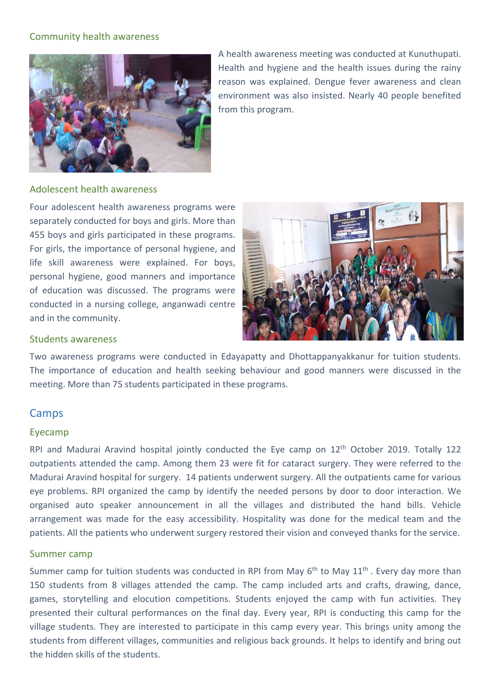#### Community health awareness



A health awareness meeting was conducted at Kunuthupati. Health and hygiene and the health issues during the rainy reason was explained. Dengue fever awareness and clean environment was also insisted. Nearly 40 people benefited from this program.

#### Adolescent health awareness

Four adolescent health awareness programs were separately conducted for boys and girls. More than 455 boys and girls participated in these programs. For girls, the importance of personal hygiene, and life skill awareness were explained. For boys, personal hygiene, good manners and importance of education was discussed. The programs were conducted in a nursing college, anganwadi centre and in the community.



#### Students awareness

Two awareness programs were conducted in Edayapatty and Dhottappanyakkanur for tuition students. The importance of education and health seeking behaviour and good manners were discussed in the meeting. More than 75 students participated in these programs.

#### Camps

#### Eyecamp

RPI and Madurai Aravind hospital jointly conducted the Eye camp on 12th October 2019. Totally 122 outpatients attended the camp. Among them 23 were fit for cataract surgery. They were referred to the Madurai Aravind hospital for surgery. 14 patients underwent surgery. All the outpatients came for various eye problems. RPI organized the camp by identify the needed persons by door to door interaction. We organised auto speaker announcement in all the villages and distributed the hand bills. Vehicle arrangement was made for the easy accessibility. Hospitality was done for the medical team and the patients. All the patients who underwent surgery restored their vision and conveyed thanks for the service.

#### Summer camp

Summer camp for tuition students was conducted in RPI from May 6<sup>th</sup> to May 11<sup>th</sup>. Every day more than 150 students from 8 villages attended the camp. The camp included arts and crafts, drawing, dance, games, storytelling and elocution competitions. Students enjoyed the camp with fun activities. They presented their cultural performances on the final day. Every year, RPI is conducting this camp for the village students. They are interested to participate in this camp every year. This brings unity among the students from different villages, communities and religious back grounds. It helps to identify and bring out the hidden skills of the students.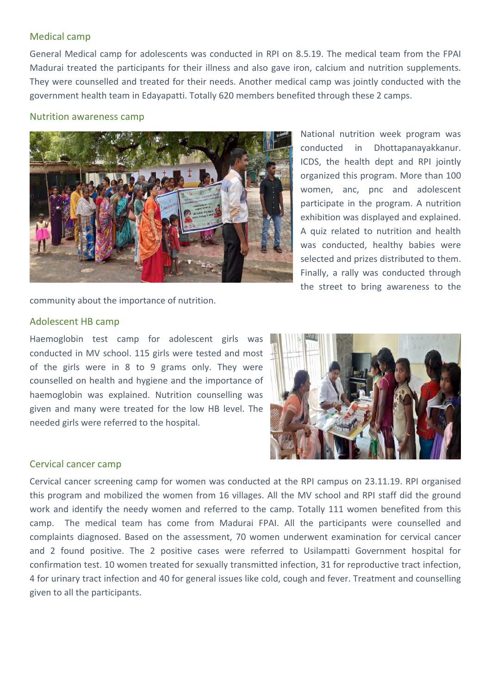#### Medical camp

General Medical camp for adolescents was conducted in RPI on 8.5.19. The medical team from the FPAI Madurai treated the participants for their illness and also gave iron, calcium and nutrition supplements. They were counselled and treated for their needs. Another medical camp was jointly conducted with the government health team in Edayapatti. Totally 620 members benefited through these 2 camps.

#### Nutrition awareness camp



National nutrition week program was conducted in Dhottapanayakkanur. ICDS, the health dept and RPI jointly organized this program. More than 100 women, anc, pnc and adolescent participate in the program. A nutrition exhibition was displayed and explained. A quiz related to nutrition and health was conducted, healthy babies were selected and prizes distributed to them. Finally, a rally was conducted through the street to bring awareness to the

community about the importance of nutrition.

#### Adolescent HB camp

Haemoglobin test camp for adolescent girls was conducted in MV school. 115 girls were tested and most of the girls were in 8 to 9 grams only. They were counselled on health and hygiene and the importance of haemoglobin was explained. Nutrition counselling was given and many were treated for the low HB level. The needed girls were referred to the hospital.



#### Cervical cancer camp

Cervical cancer screening camp for women was conducted at the RPI campus on 23.11.19. RPI organised this program and mobilized the women from 16 villages. All the MV school and RPI staff did the ground work and identify the needy women and referred to the camp. Totally 111 women benefited from this camp. The medical team has come from Madurai FPAI. All the participants were counselled and complaints diagnosed. Based on the assessment, 70 women underwent examination for cervical cancer and 2 found positive. The 2 positive cases were referred to Usilampatti Government hospital for confirmation test. 10 women treated for sexually transmitted infection, 31 for reproductive tract infection, 4 for urinary tract infection and 40 for general issues like cold, cough and fever. Treatment and counselling given to all the participants.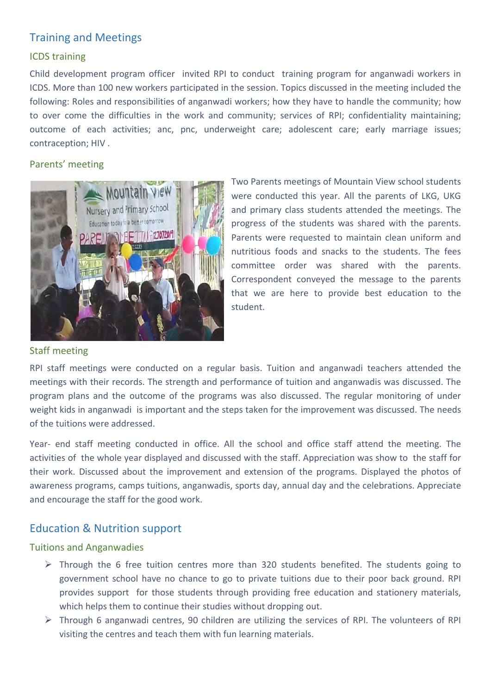## Training and Meetings

#### ICDS training

Child development program officer invited RPI to conduct training program for anganwadi workers in ICDS. More than 100 new workers participated in the session. Topics discussed in the meeting included the following: Roles and responsibilities of anganwadi workers; how they have to handle the community; how to over come the difficulties in the work and community; services of RPI; confidentiality maintaining; outcome of each activities; anc, pnc, underweight care; adolescent care; early marriage issues; contraception; HIV .

#### Parents' meeting



Two Parents meetings of Mountain View school students were conducted this year. All the parents of LKG, UKG and primary class students attended the meetings. The progress of the students was shared with the parents. Parents were requested to maintain clean uniform and nutritious foods and snacks to the students. The fees committee order was shared with the parents. Correspondent conveyed the message to the parents that we are here to provide best education to the student.

#### Staff meeting

RPI staff meetings were conducted on a regular basis. Tuition and anganwadi teachers attended the meetings with their records. The strength and performance of tuition and anganwadis was discussed. The program plans and the outcome of the programs was also discussed. The regular monitoring of under weight kids in anganwadi is important and the steps taken for the improvement was discussed. The needs of the tuitions were addressed.

Year- end staff meeting conducted in office. All the school and office staff attend the meeting. The activities of the whole year displayed and discussed with the staff. Appreciation was show to the staff for their work. Discussed about the improvement and extension of the programs. Displayed the photos of awareness programs, camps tuitions, anganwadis, sports day, annual day and the celebrations. Appreciate and encourage the staff for the good work.

## Education & Nutrition support

#### Tuitions and Anganwadies

- $\triangleright$  Through the 6 free tuition centres more than 320 students benefited. The students going to government school have no chance to go to private tuitions due to their poor back ground. RPI provides support for those students through providing free education and stationery materials, which helps them to continue their studies without dropping out.
- $\triangleright$  Through 6 anganwadi centres, 90 children are utilizing the services of RPI. The volunteers of RPI visiting the centres and teach them with fun learning materials.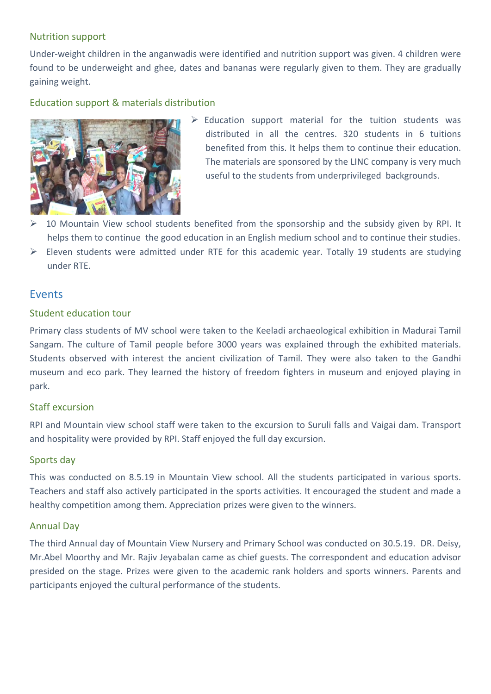#### Nutrition support

Under-weight children in the anganwadis were identified and nutrition support was given. 4 children were found to be underweight and ghee, dates and bananas were regularly given to them. They are gradually gaining weight.

#### Education support & materials distribution



- $\triangleright$  Education support material for the tuition students was distributed in all the centres. 320 students in 6 tuitions benefited from this. It helps them to continue their education. The materials are sponsored by the LINC company is very much useful to the students from underprivileged backgrounds.
- 10 Mountain View school students benefited from the sponsorship and the subsidy given by RPI. It helps them to continue the good education in an English medium school and to continue their studies.
- $\triangleright$  Eleven students were admitted under RTE for this academic year. Totally 19 students are studying under RTE.

#### Events

#### Student education tour

Primary class students of MV school were taken to the Keeladi archaeological exhibition in Madurai Tamil Sangam. The culture of Tamil people before 3000 years was explained through the exhibited materials. Students observed with interest the ancient civilization of Tamil. They were also taken to the Gandhi museum and eco park. They learned the history of freedom fighters in museum and enjoyed playing in park.

#### Staff excursion

RPI and Mountain view school staff were taken to the excursion to Suruli falls and Vaigai dam. Transport and hospitality were provided by RPI. Staff enjoyed the full day excursion.

#### Sports day

This was conducted on 8.5.19 in Mountain View school. All the students participated in various sports. Teachers and staff also actively participated in the sports activities. It encouraged the student and made a healthy competition among them. Appreciation prizes were given to the winners.

#### Annual Day

The third Annual day of Mountain View Nursery and Primary School was conducted on 30.5.19. DR. Deisy, Mr.Abel Moorthy and Mr. Rajiv Jeyabalan came as chief guests. The correspondent and education advisor presided on the stage. Prizes were given to the academic rank holders and sports winners. Parents and participants enjoyed the cultural performance of the students.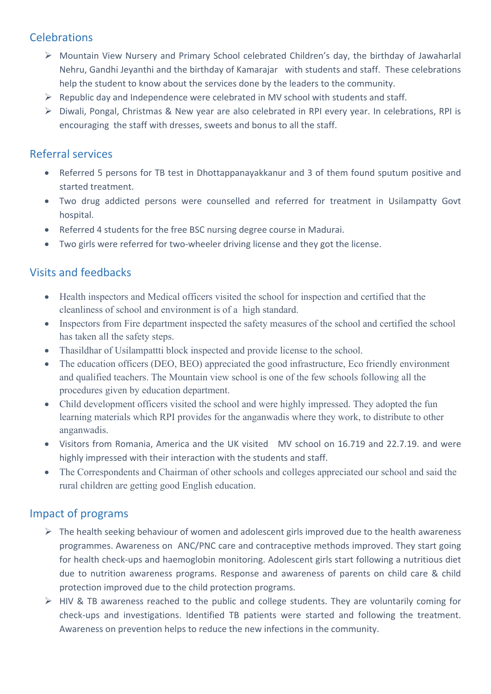## **Celebrations**

- Mountain View Nursery and Primary School celebrated Children's day, the birthday of Jawaharlal Nehru, Gandhi Jeyanthi and the birthday of Kamarajar with students and staff. These celebrations help the student to know about the services done by the leaders to the community.
- $\triangleright$  Republic day and Independence were celebrated in MV school with students and staff.
- Diwali, Pongal, Christmas & New year are also celebrated in RPI every year. In celebrations, RPI is encouraging the staff with dresses, sweets and bonus to all the staff.

## Referral services

- Referred 5 persons for TB test in Dhottappanayakkanur and 3 of them found sputum positive and started treatment.
- Two drug addicted persons were counselled and referred for treatment in Usilampatty Govt hospital.
- Referred 4 students for the free BSC nursing degree course in Madurai.
- Two girls were referred for two-wheeler driving license and they got the license.

## Visits and feedbacks

- Health inspectors and Medical officers visited the school for inspection and certified that the cleanliness of school and environment is of a high standard.
- Inspectors from Fire department inspected the safety measures of the school and certified the school has taken all the safety steps.
- Thasildhar of Usilampattti block inspected and provide license to the school.
- The education officers (DEO, BEO) appreciated the good infrastructure, Eco friendly environment and qualified teachers. The Mountain view school is one of the few schools following all the procedures given by education department.
- Child development officers visited the school and were highly impressed. They adopted the fun learning materials which RPI provides for the anganwadis where they work, to distribute to other anganwadis.
- Visitors from Romania, America and the UK visited MV school on 16.719 and 22.7.19. and were highly impressed with their interaction with the students and staff.
- The Correspondents and Chairman of other schools and colleges appreciated our school and said the rural children are getting good English education.

## Impact of programs

- $\triangleright$  The health seeking behaviour of women and adolescent girls improved due to the health awareness programmes. Awareness on ANC/PNC care and contraceptive methods improved. They start going for health check-ups and haemoglobin monitoring. Adolescent girls start following a nutritious diet due to nutrition awareness programs. Response and awareness of parents on child care & child protection improved due to the child protection programs.
- HIV & TB awareness reached to the public and college students. They are voluntarily coming for check-ups and investigations. Identified TB patients were started and following the treatment. Awareness on prevention helps to reduce the new infections in the community.